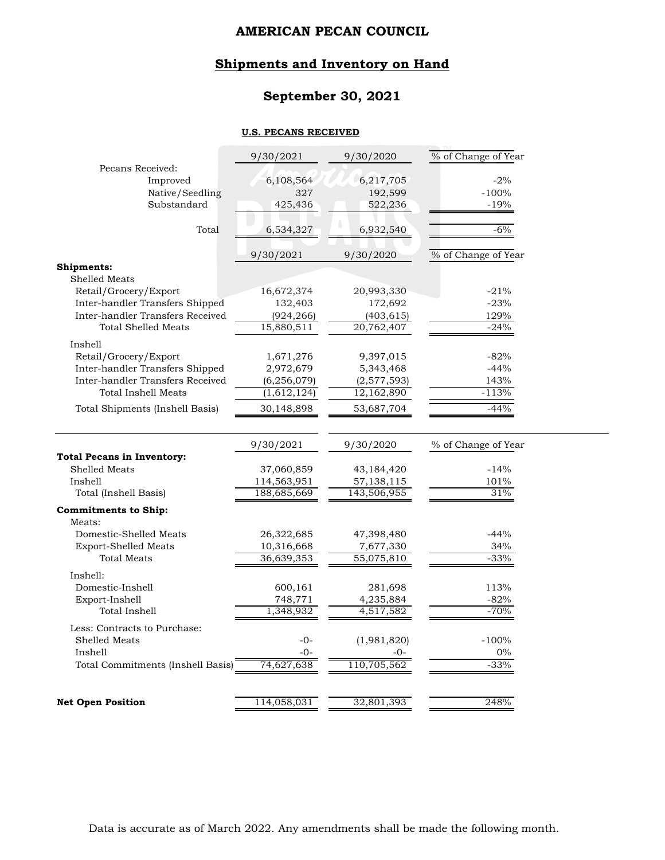# **Shipments and Inventory on Hand**

# **September 30, 2021**

#### **U.S. PECANS RECEIVED**

|                                                                                                       | 9/30/2021                | 9/30/2020               | % of Change of Year |
|-------------------------------------------------------------------------------------------------------|--------------------------|-------------------------|---------------------|
| Pecans Received:                                                                                      | 6,108,564                | 6,217,705               | $-2%$               |
| Improved<br>Native/Seedling                                                                           | 327                      | 192,599                 | $-100%$             |
| Substandard                                                                                           | 425,436                  | 522,236                 | $-19%$              |
|                                                                                                       |                          |                         |                     |
| Total                                                                                                 | 6,534,327                | 6,932,540               | $-6%$               |
|                                                                                                       | 9/30/2021                | 9/30/2020               | % of Change of Year |
| <b>Shipments:</b>                                                                                     |                          |                         |                     |
| Shelled Meats                                                                                         |                          |                         |                     |
| Retail/Grocery/Export                                                                                 | 16,672,374               | 20,993,330              | $-21%$              |
| Inter-handler Transfers Shipped                                                                       | 132,403                  | 172,692                 | $-23%$              |
| Inter-handler Transfers Received                                                                      | (924, 266)               | (403,615)               | 129%                |
| <b>Total Shelled Meats</b>                                                                            | 15,880,511               | 20,762,407              | $-24%$              |
| Inshell                                                                                               |                          |                         |                     |
| Retail/Grocery/Export                                                                                 | 1,671,276                | 9,397,015               | $-82%$              |
| Inter-handler Transfers Shipped                                                                       | 2,972,679                | 5,343,468               | $-44%$              |
| Inter-handler Transfers Received                                                                      | (6, 256, 079)            | (2,577,593)             | 143%                |
| <b>Total Inshell Meats</b>                                                                            | (1,612,124)              | 12,162,890              | $-113%$             |
| Total Shipments (Inshell Basis)                                                                       | 30,148,898               | 53,687,704              | $-44%$              |
|                                                                                                       |                          |                         |                     |
|                                                                                                       |                          |                         |                     |
|                                                                                                       | 9/30/2021                | 9/30/2020               | % of Change of Year |
|                                                                                                       |                          |                         |                     |
| Shelled Meats                                                                                         | 37,060,859               | 43,184,420              | $-14%$              |
| Inshell                                                                                               | 114,563,951              | 57,138,115              | $101\%$             |
| Total (Inshell Basis)                                                                                 | 188,685,669              | 143,506,955             | 31%                 |
| Meats:                                                                                                |                          |                         |                     |
| Domestic-Shelled Meats                                                                                |                          |                         | $-44%$              |
| <b>Export-Shelled Meats</b>                                                                           | 26,322,685<br>10,316,668 | 47,398,480<br>7,677,330 | 34%                 |
| <b>Total Meats</b>                                                                                    | 36,639,353               | 55,075,810              | $-33%$              |
|                                                                                                       |                          |                         |                     |
| Inshell:                                                                                              |                          |                         |                     |
| Domestic-Inshell                                                                                      | 600,161                  | 281,698<br>4,235,884    | 113%<br>$-82%$      |
| Export-Inshell<br>Total Inshell                                                                       | 748,771<br>1,348,932     | 4,517,582               | $-70%$              |
|                                                                                                       |                          |                         |                     |
| Less: Contracts to Purchase:                                                                          | $-0-$                    |                         |                     |
| Shelled Meats<br>Inshell                                                                              | $-0-$                    | (1,981,820)<br>-0-      | $-100%$<br>$0\%$    |
| <b>Total Pecans in Inventory:</b><br><b>Commitments to Ship:</b><br>Total Commitments (Inshell Basis) | 74,627,638               | 110,705,562             | $-33%$              |
| <b>Net Open Position</b>                                                                              | 114,058,031              | 32,801,393              | 248%                |

Data is accurate as of March 2022. Any amendments shall be made the following month.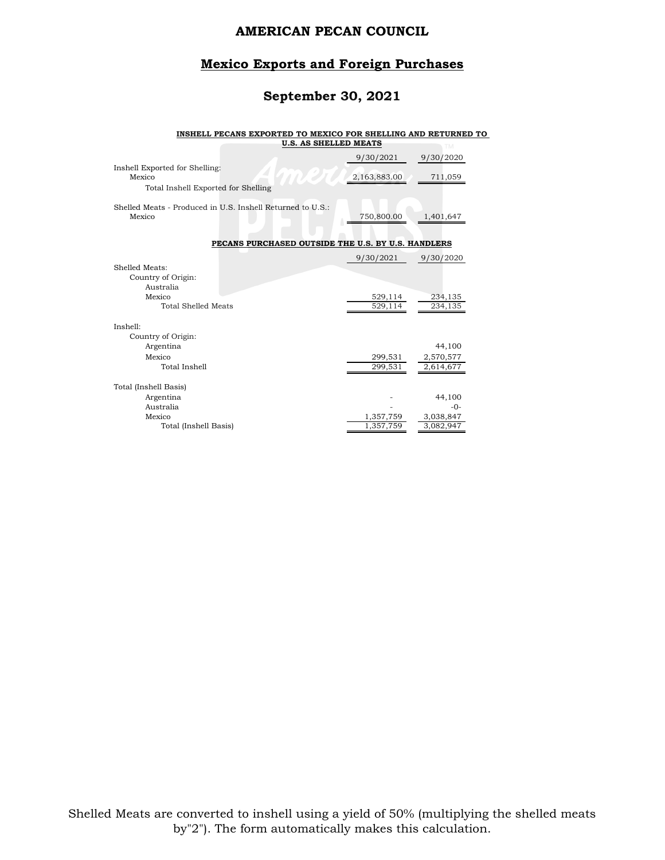### **Mexico Exports and Foreign Purchases**

# **September 30, 2021**

#### **INSHELL PECANS EXPORTED TO MEXICO FOR SHELLING AND RETURNED TO**

|                                                                                    | <b>U.S. AS SHELLED MEATS</b>                       |                        | <b>TM</b>              |
|------------------------------------------------------------------------------------|----------------------------------------------------|------------------------|------------------------|
|                                                                                    |                                                    | 9/30/2021              | 9/30/2020              |
| Inshell Exported for Shelling:<br>Mexico<br>Total Inshell Exported for Shelling    |                                                    | 2,163,883.00           | 711,059                |
|                                                                                    |                                                    |                        |                        |
| Shelled Meats - Produced in U.S. Inshell Returned to U.S.:<br>Mexico               |                                                    | 750,800.00             | 1,401,647              |
|                                                                                    | PECANS PURCHASED OUTSIDE THE U.S. BY U.S. HANDLERS |                        |                        |
|                                                                                    |                                                    | 9/30/2021              | 9/30/2020              |
| Shelled Meats:<br>Country of Origin:<br>Australia<br>Mexico<br>Total Shelled Meats |                                                    | 529,114<br>529,114     | 234,135<br>234,135     |
| Inshell:                                                                           |                                                    |                        |                        |
| Country of Origin:                                                                 |                                                    |                        |                        |
| Argentina                                                                          |                                                    |                        | 44,100                 |
| Mexico<br>Total Inshell                                                            |                                                    | 299,531<br>299,531     | 2,570,577<br>2,614,677 |
| Total (Inshell Basis)                                                              |                                                    |                        |                        |
| Argentina                                                                          |                                                    |                        | 44,100                 |
| Australia                                                                          |                                                    |                        | $-0-$                  |
| Mexico<br>Total (Inshell Basis)                                                    |                                                    | 1,357,759<br>1,357,759 | 3,038,847<br>3,082,947 |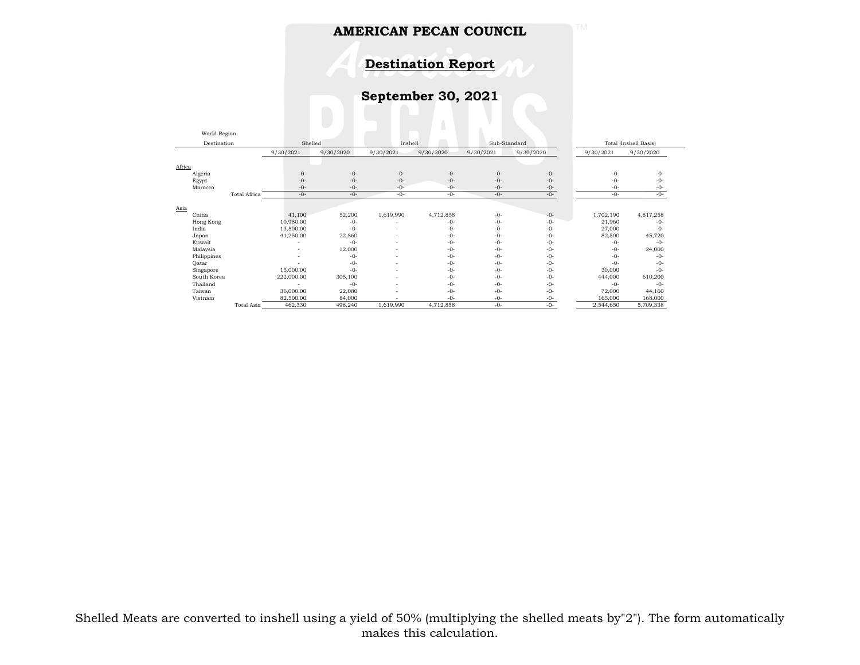**Destination Report**

**September 30, 2021**

| World Region |                     |            |           |           |           |              |           |           |                       |
|--------------|---------------------|------------|-----------|-----------|-----------|--------------|-----------|-----------|-----------------------|
| Destination  |                     | Shelled    |           | Inshell   |           | Sub-Standard |           |           | Total (Inshell Basis) |
|              |                     | 9/30/2021  | 9/30/2020 | 9/30/2021 | 9/30/2020 | 9/30/2021    | 9/30/2020 | 9/30/2021 | 9/30/2020             |
|              |                     |            |           |           |           |              |           |           |                       |
| Africa       |                     |            |           |           |           |              |           |           |                       |
| Algeria      |                     | $-0-$      | $-0-$     | $-0-$     | $-0-$     | $-0-$        | $-0-$     | $-0-$     | $-0-$                 |
| Egypt        |                     | $-0-$      | $-0-$     | $-0-$     | $-0-$     | $-0-$        | $-0-$     | $-()$ -   | $-0-$                 |
| Morocco      |                     | $-0-$      | $-0-$     | $-0-$     | $-0-$     | $-0-$        | $-0-$     | $-0-$     | $-0-$                 |
|              | <b>Total Africa</b> | $-0-$      | $-0-$     | $-0-$     | $-0-$     | $-0-$        | $-0-$     | $-0-$     | $-0-$                 |
|              |                     |            |           |           |           |              |           |           |                       |
| Asia         |                     |            |           |           |           |              |           |           |                       |
| China        |                     | 41,100     | 52,200    | 1,619,990 | 4,712,858 | $-0-$        | $-0-$     | 1,702,190 | 4,817,258             |
| Hong Kong    |                     | 10,980.00  | $-0-$     |           | $-0-$     | $-0-$        | $-0-$     | 21,960    | $-0-$                 |
| India        |                     | 13,500.00  | $-0-$     |           | $-0-$     | $-0-$        | $-0-$     | 27,000    | $-0-$                 |
| Japan        |                     | 41,250.00  | 22,860    |           | $-0-$     | $-0-$        | $-0-$     | 82,500    | 45,720                |
| Kuwait       |                     |            | $-()$ -   | ۰         | $-()$ -   | $-0-$        | $-0-$     | $-()$ -   | $-0-$                 |
| Malaysia     |                     | ٠          | 12,000    |           | $-0-$     | $-0-$        | $-0-$     | $-()$ -   | 24,000                |
| Philippines  |                     |            | $-0-$     |           | $-0-$     | $-0-$        | $-0-$     | $-0-$     | $-0-$                 |
| Qatar        |                     |            | $-0-$     |           | $-0-$     | $-0-$        | $-0-$     | $-0-$     | $-0-$                 |
| Singapore    |                     | 15,000.00  | $-0-$     |           | $-0-$     | $-0-$        | $-0-$     | 30,000    | $-0-$                 |
| South Korea  |                     | 222,000.00 | 305,100   | ۰         | $-0-$     | $-0-$        | $-0-$     | 444,000   | 610,200               |
| Thailand     |                     |            | $-0-$     | -         | $-0-$     | -0-          | $-0-$     | $-0-$     | $-0-$                 |
| Taiwan       |                     | 36,000.00  | 22,080    |           | $-0-$     | $-0-$        | $-0-$     | 72,000    | 44,160                |
| Vietnam      |                     | 82,500.00  | 84,000    |           | $-0-$     | $-0-$        | $-0-$     | 165,000   | 168,000               |
|              | Total Asia          | 462,330    | 498,240   | 1,619,990 | 4,712,858 | $-0-$        | $-0-$     | 2,544,650 | 5,709,338             |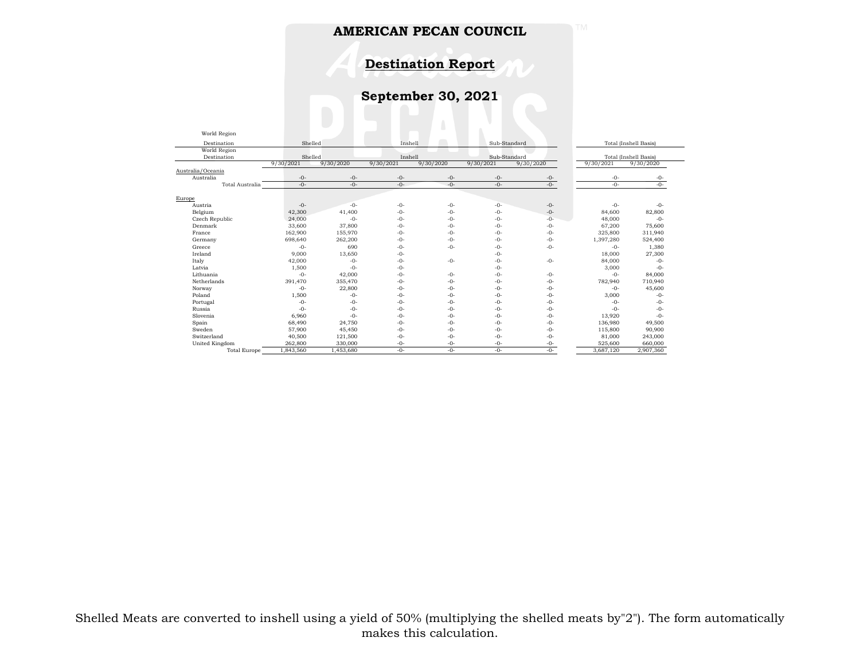**Destination Report**

**September 30, 2021**

| World Region        |           |           |           |           |           |              |           |                       |
|---------------------|-----------|-----------|-----------|-----------|-----------|--------------|-----------|-----------------------|
| Destination         | Shelled   |           | Inshell   |           |           | Sub-Standard |           | Total (Inshell Basis) |
| World Region        |           |           |           |           |           |              |           |                       |
| Destination         | Shelled   |           | Inshell   |           |           | Sub-Standard |           | Total (Inshell Basis) |
|                     | 9/30/2021 | 9/30/2020 | 9/30/2021 | 9/30/2020 | 9/30/2021 | 9/30/2020    | 9/30/2021 | 9/30/2020             |
| Australia/Oceania   |           |           |           |           |           |              |           |                       |
| Australia           | $-0-$     | $-0-$     | $-0-$     | $-0-$     | $-0-$     | $-0-$        | $-0-$     | $-0-$                 |
| Total Australia     | $-0-$     | $-0-$     | $-0-$     | $-0-$     | $-0-$     | $-0-$        | $-0-$     | $-0-$                 |
|                     |           |           |           |           |           |              |           |                       |
| Europe              | $-0-$     | $-0-$     | $-0-$     | $-0-$     | $-0-$     | $-0-$        | $-0-$     | $-0-$                 |
| Austria             |           | 41.400    | $-()$ -   | $-() -$   | $-0-$     | $-0-$        |           |                       |
| Belgium             | 42,300    | $-0-$     |           | $-0-$     | $-0-$     | $-0-$        | 84,600    | 82,800<br>$-0-$       |
| Czech Republic      | 24,000    |           | $-0-$     |           |           |              | 48,000    |                       |
| Denmark             | 33,600    | 37,800    | $-0-$     | $-0-$     | $-0-$     | $-0-$        | 67.200    | 75,600                |
| France              | 162,900   | 155,970   | $-()$ -   | $-0-$     | $-0-$     | $-0-$        | 325,800   | 311,940               |
| Germany             | 698,640   | 262,200   | $-0-$     | $-0-$     | $-0-$     | $-0-$        | 1,397,280 | 524,400               |
| Greece              | $-0-$     | 690       | $-0-$     | $-0-$     | $-0-$     | $-0-$        | $-0-$     | 1,380                 |
| Ireland             | 9,000     | 13,650    | $-() -$   |           | $-0-$     |              | 18,000    | 27,300                |
| Italy               | 42,000    | $-0-$     | $-0-$     | $-0-$     | $-0-$     | $-0-$        | 84,000    | $-0-$                 |
| Latvia              | 1,500     | $-0-$     | $-0-$     |           | $-0-$     |              | 3,000     | $-0-$                 |
| Lithuania           | $-0-$     | 42,000    | $-()$ -   | $-0-$     | $-0-$     | $-0-$        | $-()$ -   | 84,000                |
| Netherlands         | 391,470   | 355,470   | $-0-$     | $-0-$     | $-0-$     | $-0-$        | 782,940   | 710,940               |
| Norway              | $-0-$     | 22,800    | $-0-$     | $-0-$     | $-0-$     | $-0-$        | $-()$ -   | 45,600                |
| Poland              | 1,500     | $-0-$     | $-()$ -   | $-0-$     | $-0-$     | $-0-$        | 3,000     | $-0-$                 |
| Portugal            | $-0-$     | $-0-$     | $-0-$     | $-0-$     | $-0-$     | $-0-$        | $-0-$     | $-0-$                 |
| Russia              | $-0-$     | $-0-$     | $-0-$     | $-0-$     | $-0-$     | $-0-$        | $-0-$     | $-0-$                 |
| Slovenia            | 6,960     | $-0-$     | $-0-$     | $-0-$     | $-0-$     | $-0-$        | 13,920    | $-0-$                 |
| Spain               | 68,490    | 24,750    | $-0-$     | $-0-$     | $-0-$     | $-0-$        | 136,980   | 49,500                |
| Sweden              | 57,900    | 45,450    | $-0-$     | $-0-$     | $-0-$     | $-0-$        | 115,800   | 90,900                |
| Switzerland         | 40,500    | 121,500   | $-0-$     | $-0-$     | $-0-$     | $-0-$        | 81,000    | 243,000               |
| United Kingdom      | 262,800   | 330,000   | $-0-$     | $-0-$     | $-0-$     | $-0-$        | 525.600   | 660,000               |
| <b>Total Europe</b> | 1,843,560 | 1.453.680 | $-0-$     | $-0-$     | $-0-$     | $-()$ -      | 3,687,120 | 2,907,360             |